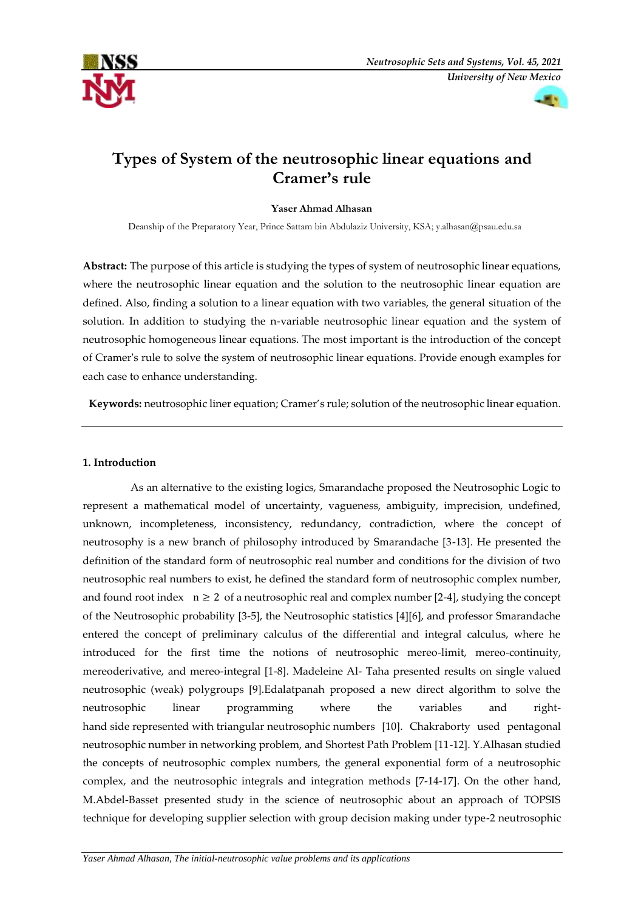



# **Types of System of the neutrosophic linear equations and Cramer's rule**

## **Yaser Ahmad Alhasan**

Deanship of the Preparatory Year, Prince Sattam bin Abdulaziz University, KSA; [y.alhasan@psau.edu.sa](mailto:y.alhasan@psau.edu.sa)

**Abstract:** The purpose of this article is studying the types of system of neutrosophic linear equations, where the neutrosophic linear equation and the solution to the neutrosophic linear equation are defined. Also, finding a solution to a linear equation with two variables, the general situation of the solution. In addition to studying the n-variable neutrosophic linear equation and the system of neutrosophic homogeneous linear equations. The most important is the introduction of the concept of Cramer's rule to solve the system of neutrosophic linear equations. Provide enough examples for each case to enhance understanding.

**Keywords:** neutrosophic liner equation; Cramer's rule; solution of the neutrosophic linear equation.

# **1. Introduction**

 As an alternative to the existing logics, Smarandache proposed the Neutrosophic Logic to represent a mathematical model of uncertainty, vagueness, ambiguity, imprecision, undefined, unknown, incompleteness, inconsistency, redundancy, contradiction, where the concept of neutrosophy is a new branch of philosophy introduced by Smarandache [3-13]. He presented the definition of the standard form of neutrosophic real number and conditions for the division of two neutrosophic real numbers to exist, he defined the standard form of neutrosophic complex number, and found root index  $n \geq 2$  of a neutrosophic real and complex number [2-4], studying the concept of the Neutrosophic probability [3-5], the Neutrosophic statistics [4][6], and professor Smarandache entered the concept of preliminary calculus of the differential and integral calculus, where he introduced for the first time the notions of neutrosophic mereo-limit, mereo-continuity, mereoderivative, and mereo-integral [1-8]. Madeleine Al- Taha presented results on single valued neutrosophic (weak) polygroups [9].Edalatpanah proposed a new direct algorithm to solve the neutrosophic linear programming where the variables and righthand side represented with triangular neutrosophic numbers [10]. Chakraborty used pentagonal neutrosophic number in networking problem, and Shortest Path Problem [11-12]. Y.Alhasan studied the concepts of neutrosophic complex numbers, the general exponential form of a neutrosophic complex, and the neutrosophic integrals and integration methods [7-14-17]. On the other hand, M.Abdel-Basset presented study in the science of neutrosophic about an approach of TOPSIS technique for developing supplier selection with group decision making under type-2 neutrosophic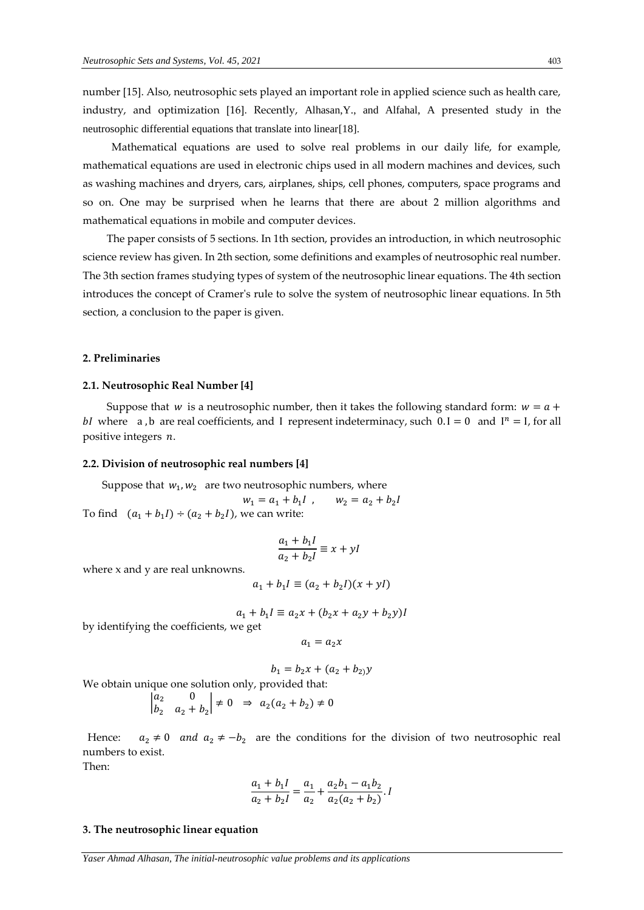number [15]. Also, neutrosophic sets played an important role in applied science such as health care, industry, and optimization [16]. Recently, Alhasan,Y., and Alfahal, A presented study in the neutrosophic differential equations that translate into linear[18].

 Mathematical equations are used to solve real problems in our daily life, for example, mathematical equations are used in electronic chips used in all modern machines and devices, such as washing machines and dryers, cars, airplanes, ships, cell phones, computers, space programs and so on. One may be surprised when he learns that there are about 2 million algorithms and mathematical equations in mobile and computer devices.

 The paper consists of 5 sections. In 1th section, provides an introduction, in which neutrosophic science review has given. In 2th section, some definitions and examples of neutrosophic real number. The 3th section frames studying types of system of the neutrosophic linear equations. The 4th section introduces the concept of Cramer's rule to solve the system of neutrosophic linear equations. In 5th section, a conclusion to the paper is given.

#### **2. Preliminaries**

## **2.1. Neutrosophic Real Number [4]**

Suppose that *w* is a neutrosophic number, then it takes the following standard form:  $w = a +$ bI where a, b are real coefficients, and I represent indeterminacy, such  $0.1 = 0$  and  $I^n = I$ , for all positive integers  $n$ .

#### **2.2. Division of neutrosophic real numbers [4]**

Suppose that  $w_1, w_2$  are two neutrosophic numbers, where

 $w_1 = a_1 + b_1 l$ , *l*,  $w_2 = a_2 + b_2 I$ To find  $(a_1 + b_1) \div (a_2 + b_2)$ , we can write:

$$
\frac{a_1 + b_1 I}{a_2 + b_2 I} \equiv x + yI
$$

where x and y are real unknowns.

$$
a_1 + b_1 I \equiv (a_2 + b_2 I)(x + yI)
$$

$$
a_1 + b_1 l \equiv a_2 x + (b_2 x + a_2 y + b_2 y)l
$$

by identifying the coefficients, we get

 $a_1 = a_2 x$ 

$$
b_1 = b_2 x + (a_2 + b_2) y
$$

We obtain unique one solution only, provided that:

$$
\begin{vmatrix} a_2 & 0 \\ b_2 & a_2 + b_2 \end{vmatrix} \neq 0 \Rightarrow a_2(a_2 + b_2) \neq 0
$$

Hence:  $a_2 \neq 0$  and  $a_2 \neq -b_2$  are the conditions for the division of two neutrosophic real numbers to exist.

Then:

$$
\frac{a_1 + b_1 l}{a_2 + b_2 l} = \frac{a_1}{a_2} + \frac{a_2 b_1 - a_1 b_2}{a_2 (a_2 + b_2)}.
$$

#### **3. The neutrosophic linear equation**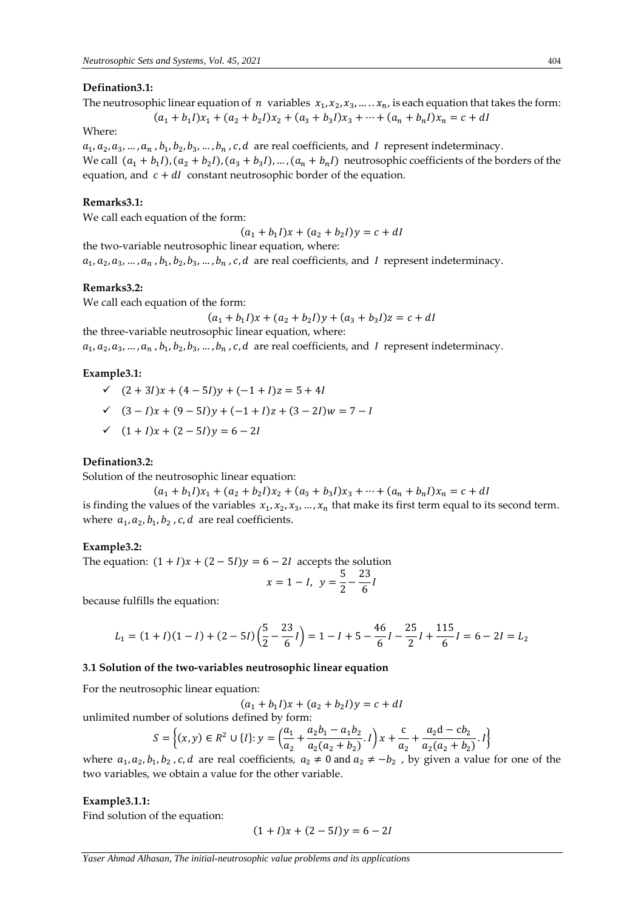## **Defination3.1:**

The neutrosophic linear equation of n variables  $x_1, x_2, x_3, \ldots, x_n$ , is each equation that takes the form:

$$
(a_1 + b_1I)x_1 + (a_2 + b_2I)x_2 + (a_3 + b_3I)x_3 + \dots + (a_n + b_nI)x_n = c + dI
$$

Where:

 $a_1, a_2, a_3, ..., a_n$  ,  $b_1, b_2, b_3, ..., b_n$  ,  $c, d$  are real coefficients, and I represent indeterminacy. We call  $(a_1 + b_1 I), (a_2 + b_2 I), (a_3 + b_3 I), ..., (a_n + b_n I)$  neutrosophic coefficients of the borders of the equation, and  $c + dI$  constant neutrosophic border of the equation.

#### **Remarks3.1:**

We call each equation of the form:

 $(a_1 + b_1 I)x + (a_2 + b_2 I)y = c + dI$ 

the two-variable neutrosophic linear equation, where:

 $a_1, a_2, a_3, ..., a_n$  ,  $b_1, b_2, b_3, ..., b_n$  ,  $c, d$  are real coefficients, and I represent indeterminacy.

#### **Remarks3.2:**

We call each equation of the form:

$$
(a_1 + b_1 I)x + (a_2 + b_2 I)y + (a_3 + b_3 I)z = c + dI
$$

the three-variable neutrosophic linear equation, where:

 $a_1, a_2, a_3, ..., a_n$  ,  $b_1, b_2, b_3, ..., b_n$  ,  $c, d$  are real coefficients, and I represent indeterminacy.

## **Example3.1:**

- $\checkmark$  (2 + 3*I*)  $x + (4-5*I*)y + (-1+*I*)z = 5+4*I*$
- $\checkmark$  (3 − I)x + (9 − 5I)y + (-1 + I)z + (3 − 2I)w = 7 − I
- $\checkmark$  (1 + *I*) x + (2 − 5*I*) y = 6 − 2*I*

## **Defination3.2:**

Solution of the neutrosophic linear equation:

$$
(a_1 + b_1I)x_1 + (a_2 + b_2I)x_2 + (a_3 + b_3I)x_3 + \dots + (a_n + b_nI)x_n = c + dI
$$

is finding the values of the variables  $x_1, x_2, x_3, ..., x_n$  that make its first term equal to its second term. where  $a_1, a_2, b_1, b_2$ , c, d are real coefficients.

#### **Example3.2:**

The equation:  $(1 + I)x + (2 - 5I)y = 6 - 2I$  accepts the solution

$$
x = 1 - I, \ y = \frac{5}{2} - \frac{23}{6}I
$$

because fulfills the equation:

$$
L_1 = (1 + I)(1 - I) + (2 - 5I)\left(\frac{5}{2} - \frac{23}{6}I\right) = 1 - I + 5 - \frac{46}{6}I - \frac{25}{2}I + \frac{115}{6}I = 6 - 2I = L_2
$$

## **3.1 Solution of the two-variables neutrosophic linear equation**

For the neutrosophic linear equation:

$$
(a_1 + b_1 I)x + (a_2 + b_2 I)y = c + dI
$$

unlimited number of solutions defined by form:

$$
S = \left\{ (x, y) \in R^2 \cup \{I\} : y = \left( \frac{a_1}{a_2} + \frac{a_2 b_1 - a_1 b_2}{a_2 (a_2 + b_2)} \cdot I \right) x + \frac{c}{a_2} + \frac{a_2 d - c b_2}{a_2 (a_2 + b_2)} \cdot I \right\}
$$

where  $a_1, a_2, b_1, b_2$ , c, d are real coefficients,  $a_2 \neq 0$  and  $a_2 \neq -b_2$ , by given a value for one of the two variables, we obtain a value for the other variable.

## **Example3.1.1:**

Find solution of the equation:

$$
(1 + I)x + (2 - 5I)y = 6 - 2I
$$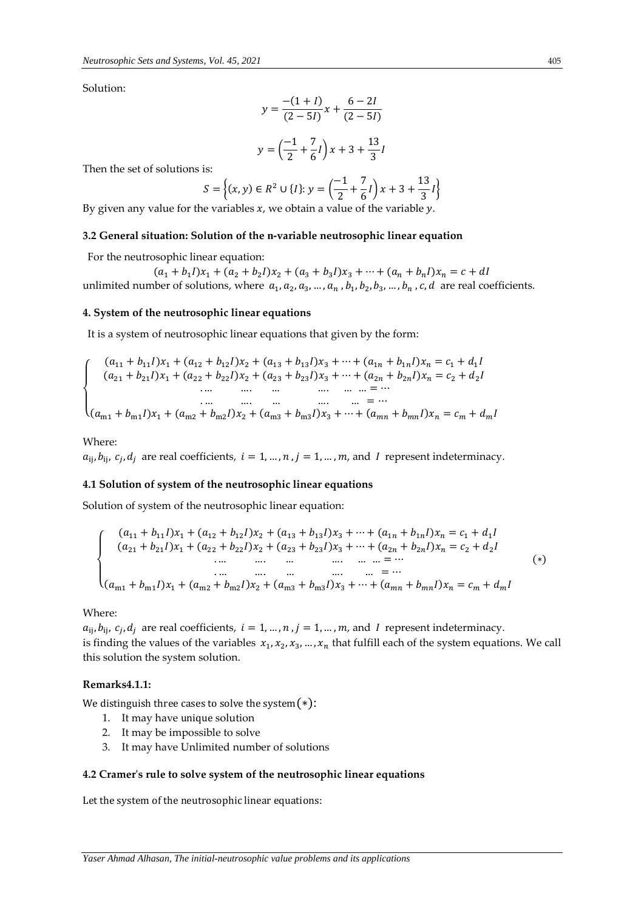Solution:

$$
y = \frac{-(1 + I)}{(2 - 5I)}x + \frac{6 - 2I}{(2 - 5I)}
$$

$$
y = \left(\frac{-1}{2} + \frac{7}{6}I\right)x + 3 + \frac{13}{3}I
$$

Then the set of solutions is:

$$
S = \left\{ (x, y) \in R^2 \cup \{I\} : y = \left( \frac{-1}{2} + \frac{7}{6}I \right) x + 3 + \frac{13}{3}I \right\}
$$

By given any value for the variables  $x$ , we obtain a value of the variable  $y$ .

## **3.2 General situation: Solution of the n-variable neutrosophic linear equation**

For the neutrosophic linear equation:

 $(a_1 + b_1 I)x_1 + (a_2 + b_2 I)x_2 + (a_3 + b_3 I)x_3 + \cdots + (a_n + b_n I)x_n = c + dI$ unlimited number of solutions, where  $a_1, a_2, a_3, ..., a_n$ ,  $b_1, b_2, b_3, ..., b_n$ , c, d are real coefficients.

#### **4. System of the neutrosophic linear equations**

It is a system of neutrosophic linear equations that given by the form:

{  $(a_{21} + b_{21})x_1 + (a_{22} + b_{22})x_2 + (a_{23} + b_{23})x_3 + \cdots + (a_{2n} + b_{2n})x_n = c_2 + d_2I$  $(a_{11} + b_{11})x_1 + (a_{12} + b_{12})x_2 + (a_{13} + b_{13})x_3 + \cdots + (a_{1n} + b_{1n})x_n = c_1 + d_1l$ . … …. … …. … … = ⋯ . … …. … …. … = ⋯  $(a_{m1} + b_{m1})x_1 + (a_{m2} + b_{m2})x_2 + (a_{m3} + b_{m3})x_3 + \cdots + (a_{mn} + b_{mn})x_n = c_m + d_m$ 

## Where:

 $a_{ij}$ ,  $b_{ij}$ ,  $c_j$ ,  $d_j$  are real coefficients,  $i = 1, ..., n$ ,  $j = 1, ..., m$ , and I represent indeterminacy.

## **4.1 Solution of system of the neutrosophic linear equations**

Solution of system of the neutrosophic linear equation:

$$
\begin{cases}\n(a_{11} + b_{11})x_1 + (a_{12} + b_{12})x_2 + (a_{13} + b_{13})x_3 + \dots + (a_{1n} + b_{1n})x_n = c_1 + d_1 I \\
(a_{21} + b_{21})x_1 + (a_{22} + b_{22})x_2 + (a_{23} + b_{23})x_3 + \dots + (a_{2n} + b_{2n})x_n = c_2 + d_2 I \\
\vdots \\
\vdots \\
(a_{m1} + b_{m1})x_1 + (a_{m2} + b_{m2})x_2 + (a_{m3} + b_{m3})x_3 + \dots + (a_{mn} + b_{mn})x_n = c_m + d_m I\n\end{cases}
$$
\n(\*)

## Where:

 $a_{ij}$ ,  $b_{ij}$ ,  $c_j$ ,  $d_j$  are real coefficients,  $i = 1, ..., n$ ,  $j = 1, ..., m$ , and I represent indeterminacy. is finding the values of the variables  $x_1, x_2, x_3, ..., x_n$  that fulfill each of the system equations. We call this solution the system solution.

#### **Remarks4.1.1:**

We distinguish three cases to solve the system(∗):

- 1. It may have unique solution
- 2. It may be impossible to solve
- 3. It may have Unlimited number of solutions

## **4.2 Cramer's rule to solve system of the neutrosophic linear equations**

Let the system of the neutrosophic linear equations: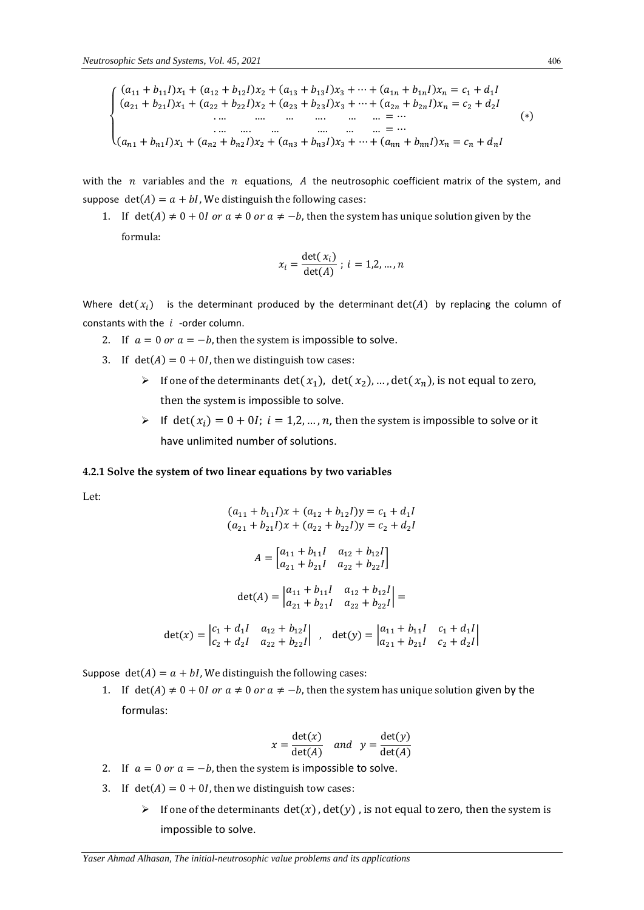$$
\begin{cases}\n(a_{11} + b_{11})x_1 + (a_{12} + b_{12})x_2 + (a_{13} + b_{13})x_3 + \dots + (a_{1n} + b_{1n})x_n = c_1 + d_1 I \\
(a_{21} + b_{21})x_1 + (a_{22} + b_{22})x_2 + (a_{23} + b_{23})x_3 + \dots + (a_{2n} + b_{2n})x_n = c_2 + d_2 I \\
\vdots \\
\vdots \\
(a_{n1} + b_{n1})x_1 + (a_{n2} + b_{n2})x_2 + (a_{n3} + b_{n3})x_3 + \dots + (a_{nn} + b_{nn})x_n = c_n + d_n I\n\end{cases}
$$
\n(\*)

with the  $n$  variables and the  $n$  equations,  $A$  the neutrosophic coefficient matrix of the system, and suppose  $\det(A) = a + bI$ , We distinguish the following cases:

1. If det(A)  $\neq$  0 + 0*l* or  $a \neq 0$  or  $a \neq -b$ , then the system has unique solution given by the formula:

$$
x_i = \frac{\det(x_i)}{\det(A)} \; ; \; i = 1, 2, ..., n
$$

Where det( $x_i$ ) is the determinant produced by the determinant det(A) by replacing the column of constants with the  $i$  -order column.

- 2. If  $a = 0$  or  $a = -b$ , then the system is impossible to solve.
- 3. If  $det(A) = 0 + 0I$ , then we distinguish tow cases:
	- F one of the determinants det( $x_1$ ), det( $x_2$ ), ..., det( $x_n$ ), is not equal to zero, then the system is impossible to solve.
	- If det( $x_i$ ) = 0 + 0I;  $i = 1, 2, ..., n$ , then the system is impossible to solve or it have unlimited number of solutions.

## **4.2.1 Solve the system of two linear equations by two variables**

Let:

$$
(a_{11} + b_{11}I)x + (a_{12} + b_{12}I)y = c_1 + d_1I
$$
  
\n
$$
(a_{21} + b_{21}I)x + (a_{22} + b_{22}I)y = c_2 + d_2I
$$
  
\n
$$
A = \begin{bmatrix} a_{11} + b_{11}I & a_{12} + b_{12}I \\ a_{21} + b_{21}I & a_{22} + b_{22}I \end{bmatrix}
$$
  
\n
$$
\det(A) = \begin{vmatrix} a_{11} + b_{11}I & a_{12} + b_{12}I \\ a_{21} + b_{21}I & a_{22} + b_{22}I \end{vmatrix} =
$$
  
\n
$$
\det(x) = \begin{vmatrix} c_1 + d_1I & a_{12} + b_{12}I \\ c_2 + d_2I & a_{22} + b_{22}I \end{vmatrix}, \quad \det(y) = \begin{vmatrix} a_{11} + b_{11}I & c_1 + d_1I \\ a_{21} + b_{21}I & c_2 + d_2I \end{vmatrix}
$$

Suppose  $det(A) = a + bI$ , We distinguish the following cases:

1. If det(A)  $\neq$  0 + 0*I* or  $a \neq 0$  or  $a \neq -b$ , then the system has unique solution given by the formulas:

$$
x = \frac{\det(x)}{\det(A)} \quad and \quad y = \frac{\det(y)}{\det(A)}
$$

- 2. If  $a = 0$  or  $a = -b$ , then the system is impossible to solve.
- 3. If  $det(A) = 0 + 0I$ , then we distinguish tow cases:
	- If one of the determinants  $det(x)$ ,  $det(y)$ , is not equal to zero, then the system is impossible to solve.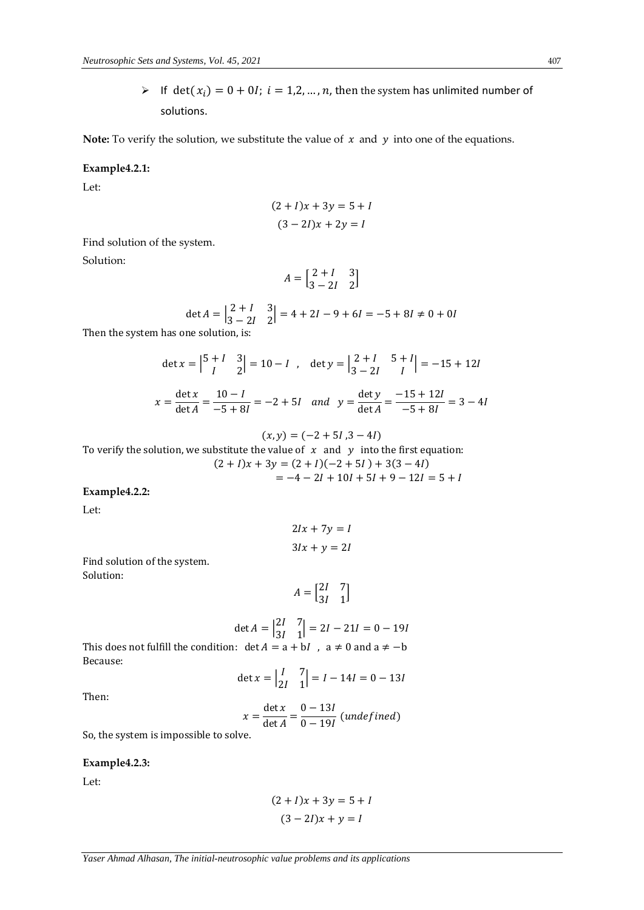If det( $x_i$ ) = 0 + 0I;  $i = 1, 2, ..., n$ , then the system has unlimited number of solutions.

**Note:** To verify the solution, we substitute the value of  $x$  and  $y$  into one of the equations.

## **Example4.2.1:**

Let:

$$
(2 + I)x + 3y = 5 + I
$$

$$
(3 – 2I)x + 2y = I
$$

Find solution of the system.

Solution:

$$
A = \begin{bmatrix} 2+I & 3 \\ 3-2I & 2 \end{bmatrix}
$$

$$
\det A = \begin{vmatrix} 2 + I & 3 \\ 3 - 2I & 2 \end{vmatrix} = 4 + 2I - 9 + 6I = -5 + 8I \neq 0 + 0I
$$

Then the system has one solution, is:

$$
\det x = \begin{vmatrix} 5+l & 3 \\ l & 2 \end{vmatrix} = 10 - l \quad \text{det } y = \begin{vmatrix} 2+l & 5+l \\ 3-2l & l \end{vmatrix} = -15 + 12l
$$
\n
$$
x = \frac{\det x}{\det A} = \frac{10 - l}{-5 + 8l} = -2 + 5l \quad \text{and} \quad y = \frac{\det y}{\det A} = \frac{-15 + 12l}{-5 + 8l} = 3 - 4l
$$

$$
(x, y) = (-2 + 5I, 3 - 4I)
$$
  
To verify the solution, we substitute the value of x and y into the first equation:  

$$
(2 + I)x + 3y = (2 + I)(-2 + 5I) + 3(3 - 4I)
$$

$$
= -4 - 2I + 10I + 5I + 9 - 12I = 5 + I
$$

# **Example4.2.2:**

Let:

$$
2Ix + 7y = I
$$

$$
3Ix + y = 2I
$$

Find solution of the system. Solution:

> $A = \begin{bmatrix} 2I & 7 \\ 2I & 1 \end{bmatrix}$  $\begin{bmatrix} 2I & I \\ 3I & 1 \end{bmatrix}$

$$
\det A = \begin{vmatrix} 2I & 7 \\ 3I & 1 \end{vmatrix} = 2I - 21I = 0 - 19I
$$
  
This does not fulfill the condition:  $\det A = a + bI$ ,  $a \neq 0$  and  $a \neq -b$   
Because:

$$
\det x = \begin{vmatrix} I & 7 \\ 2I & 1 \end{vmatrix} = I - 14I = 0 - 13I
$$

Then:

Because:

$$
x = \frac{\det x}{\det A} = \frac{0 - 13I}{0 - 19I}
$$
 (undefined)

So, the system is impossible to solve.

# **Example4.2.3:**

Let:

$$
(2 + I)x + 3y = 5 + I
$$

$$
(3 – 2I)x + y = I
$$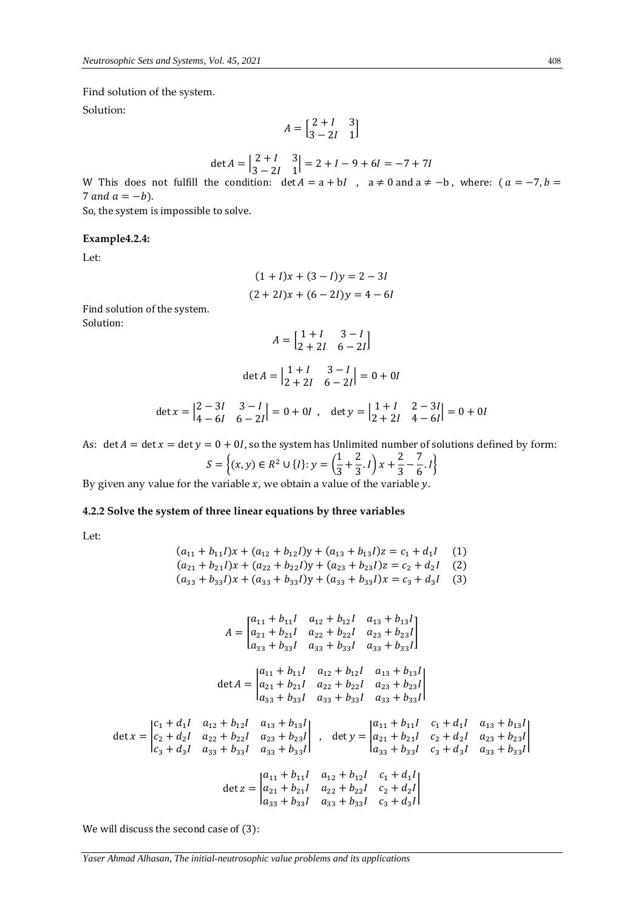Find solution of the system.

Solution:

$$
A = \begin{bmatrix} 2+I & 3 \\ 3-2I & 1 \end{bmatrix}
$$

$$
\det A = \begin{vmatrix} 2 + I & 3 \\ 3 - 2I & 1 \end{vmatrix} = 2 + I - 9 + 6I = -7 + 7I
$$

W This does not fulfill the condition:  $\det A = a + bI$ ,  $a \neq 0$  and  $a \neq -b$ , where:  $(a = -7, b =$ 7 and  $a = -b$ ).

So, the system is impossible to solve.

## **Example4.2.4:**

Let:

$$
(1 + I)x + (3 - I)y = 2 - 3I
$$

$$
(2 + 2I)x + (6 - 2I)y = 4 - 6I
$$

Find solution of the system. Solution:

$$
A = \begin{bmatrix} 1 + I & 3 - I \\ 2 + 2I & 6 - 2I \end{bmatrix}
$$

$$
\det A = \begin{vmatrix} 1+I & 3-I \\ 2+2I & 6-2I \end{vmatrix} = 0 + 0I
$$

$$
\det x = \begin{vmatrix} 2 - 3I & 3 - I \\ 4 - 6I & 6 - 2I \end{vmatrix} = 0 + 0I \; , \quad \det y = \begin{vmatrix} 1 + I & 2 - 3I \\ 2 + 2I & 4 - 6I \end{vmatrix} = 0 + 0I
$$

As:  $\det A = \det x = \det y = 0 + 0I$ , so the system has Unlimited number of solutions defined by form:

$$
S = \left\{ (x, y) \in R^2 \cup \{1\} : y = \left( \frac{1}{3} + \frac{2}{3} \cdot I \right) x + \frac{2}{3} - \frac{7}{6} \cdot I \right\}
$$

By given any value for the variable  $x$ , we obtain a value of the variable  $y$ .

## **4.2.2 Solve the system of three linear equations by three variables**

Let:

$$
(a_{11} + b_{11}l)x + (a_{12} + b_{12}l)y + (a_{13} + b_{13}l)z = c_1 + d_1l
$$
 (1)  
\n
$$
(a_{21} + b_{21}l)x + (a_{22} + b_{22}l)y + (a_{23} + b_{23}l)z = c_2 + d_2l
$$
 (2)  
\n
$$
(a_{33} + b_{33}l)x + (a_{33} + b_{33}l)y + (a_{33} + b_{33}l)x = c_3 + d_3l
$$
 (3)

$$
A = \begin{bmatrix} a_{11} + b_{11}I & a_{12} + b_{12}I & a_{13} + b_{13}I \\ a_{21} + b_{21}I & a_{22} + b_{22}I & a_{23} + b_{23}I \\ a_{33} + b_{33}I & a_{33} + b_{33}I & a_{33} + b_{33}I \end{bmatrix}
$$
  
\n
$$
\det A = \begin{vmatrix} a_{11} + b_{11}I & a_{12} + b_{12}I & a_{13} + b_{13}I \\ a_{21} + b_{21}I & a_{22} + b_{22}I & a_{23} + b_{23}I \\ a_{33} + b_{33}I & a_{33} + b_{33}I & a_{33} + b_{33}I \end{bmatrix}
$$
  
\n
$$
\det x = \begin{vmatrix} c_1 + d_1I & a_{12} + b_{12}I & a_{13} + b_{13}I \\ c_2 + d_2I & a_{22} + b_{22}I & a_{23} + b_{23}I \\ c_3 + d_3I & a_{33} + b_{33}I & a_{33} + b_{33}I \end{vmatrix}, \quad \det y = \begin{vmatrix} a_{11} + b_{11}I & c_1 + d_1I & a_{13} + b_{13}I \\ a_{21} + b_{21}I & c_2 + d_2I & a_{23} + b_{23}I \\ a_{33} + b_{33}I & c_3 + d_3I & a_{33} + b_{33}I \end{vmatrix}
$$
  
\n
$$
\det z = \begin{vmatrix} a_{11} + b_{11}I & a_{12} + b_{12}I & c_1 + d_1I \\ a_{21} + b_{21}I & a_{22} + b_{22}I & c_2 + d_2I \\ a_{33} + b_{33}I & a_{33} + b_{33}I & c_3 + d_3I \end{vmatrix}
$$

We will discuss the second case of (3):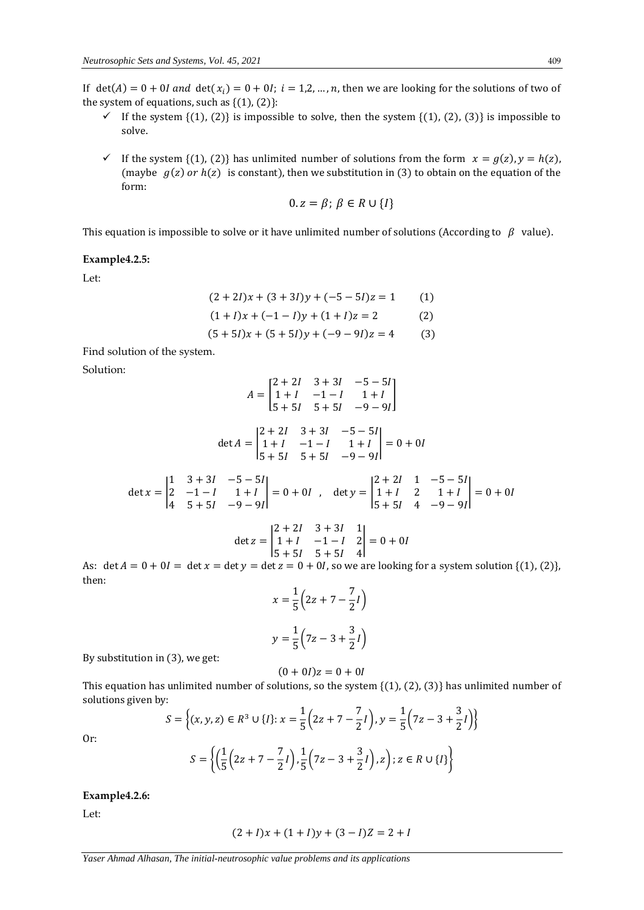If  $det(A) = 0 + 0I$  and  $det(x_i) = 0 + 0I$ ;  $i = 1,2,...,n$ , then we are looking for the solutions of two of the system of equations, such as  $\{(1), (2)\}$ :

- If the system  $\{(1), (2)\}$  is impossible to solve, then the system  $\{(1), (2), (3)\}$  is impossible to solve.
- If the system {(1), (2)} has unlimited number of solutions from the form  $x = g(z)$ ,  $y = h(z)$ , (maybe  $g(z)$  or  $h(z)$  is constant), then we substitution in (3) to obtain on the equation of the form:

$$
0. z = \beta; \ \beta \in R \cup \{I\}
$$

This equation is impossible to solve or it have unlimited number of solutions (According to  $\beta$  value).

#### **Example4.2.5:**

Let:

$$
(2+2I)x + (3+3I)y + (-5-5I)z = 1
$$
 (1)

$$
(1 + I)x + (-1 - I)y + (1 + I)z = 2
$$
 (2)

$$
(5+5I)x + (5+5I)y + (-9-9I)z = 4
$$
 (3)

Find solution of the system.

Solution:

$$
A = \begin{bmatrix} 2+2I & 3+3I & -5-5I \\ 1+I & -1-I & 1+I \\ 5+5I & 5+5I & -9-9I \end{bmatrix}
$$
  
\n
$$
\det A = \begin{vmatrix} 2+2I & 3+3I & -5-5I \\ 1+I & -1-I & 1+I \\ 5+5I & 5+5I & -9-9I \end{vmatrix} = 0 + 0I
$$
  
\n
$$
\det x = \begin{vmatrix} 1 & 3+3I & -5-5I \\ 2 & -1-I & 1+I \\ 4 & 5+5I & -9-9I \end{vmatrix} = 0 + 0I , \quad \det y = \begin{vmatrix} 2+2I & 1 & -5-5I \\ 1+I & 2 & 1+I \\ 5+5I & 4 & -9-9I \end{vmatrix} = 0 + 0I
$$
  
\n
$$
\det z = \begin{vmatrix} 2+2I & 3+3I & 1 \\ 1+I & -1-I & 2 \end{vmatrix} = 0 + 0I
$$

$$
\text{let } z = \begin{vmatrix} 1+l & -1-l & 2 \\ 5+5l & 5+5l & 4 \end{vmatrix} = 0 + 0l
$$

As:  $\det A = 0 + 0I = \det x = \det y = \det z = 0 + 0I$ , so we are looking for a system solution {(1), (2)}, then:

$$
x = \frac{1}{5} \left( 2z + 7 - \frac{7}{2}l \right)
$$
  

$$
y = \frac{1}{5} \left( 7z - 3 + \frac{3}{2}l \right)
$$

By substitution in (3), we get:

$$
(0+0I)z=0+0I
$$

This equation has unlimited number of solutions, so the system  $\{(1), (2), (3)\}$  has unlimited number of solutions given by: 1  $\overline{7}$  $1<sup>1</sup>$  $\overline{2}$ 

$$
S = \left\{ (x, y, z) \in R^3 \cup \{I\} : x = \frac{1}{5} \left( 2z + 7 - \frac{7}{2}I \right), y = \frac{1}{5} \left( 7z - 3 + \frac{3}{2}I \right) \right\}
$$

$$
S = \left\{ \left( \frac{1}{5} \left( 2z + 7 - \frac{7}{2}I \right), \frac{1}{5} \left( 7z - 3 + \frac{3}{2}I \right), z \right) : z \in R \cup \{I\} \right\}
$$

Or:

## **Example4.2.6:**

Let:

$$
(2 + I)x + (1 + I)y + (3 - I)Z = 2 + I
$$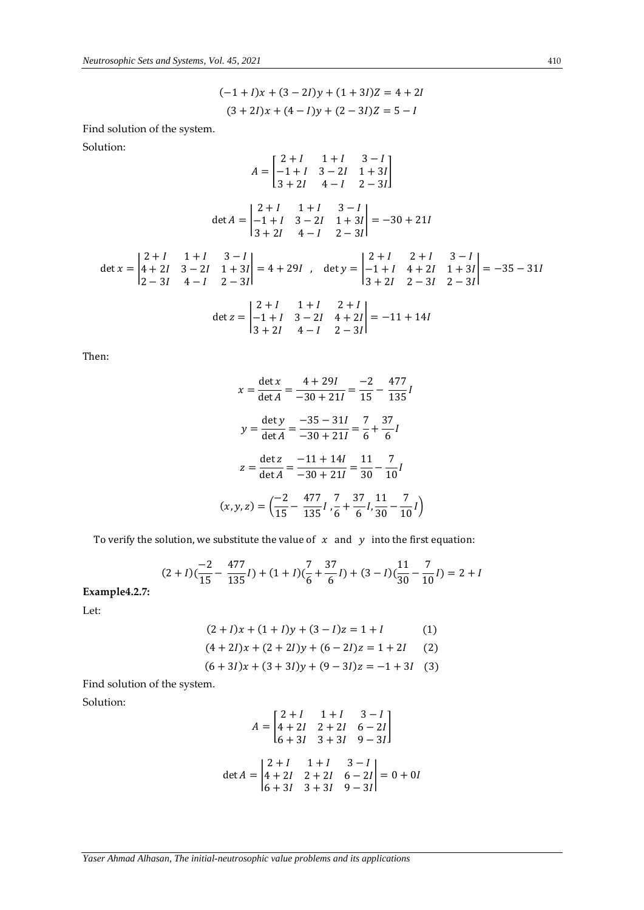$$
(-1+1)x + (3-21)y + (1+31)Z = 4+2I
$$
  
(3+21)x + (4-1)y + (2-31)Z = 5-1

Find solution of the system.

Solution:

$$
A = \begin{bmatrix} 2+I & 1+I & 3-I \\ -1+I & 3-2I & 1+3I \\ 3+2I & 4-I & 2-3I \end{bmatrix}
$$
  
\n
$$
\det A = \begin{vmatrix} 2+I & 1+I & 3-I \\ -1+I & 3-2I & 1+3I \\ 3+2I & 4-I & 2-3I \end{vmatrix} = -30 + 21I
$$
  
\n
$$
\det x = \begin{vmatrix} 2+I & 1+I & 3-I \\ 4+2I & 3-2I & 1+3I \\ 2-3I & 4-I & 2-3I \end{vmatrix} = 4 + 29I
$$
, 
$$
\det y = \begin{vmatrix} 2+I & 2+I & 3-I \\ -1+I & 4+2I & 1+3I \\ 3+2I & 2-3I & 2-3I \end{vmatrix} = -35 - 31I
$$
  
\n
$$
\det z = \begin{vmatrix} 2+I & 1+I & 2+I \\ -1+I & 3-2I & 4+2I \\ 3+2I & 4-I & 2-3I \end{vmatrix} = -11 + 14I
$$

Then:

$$
x = \frac{\det x}{\det A} = \frac{4 + 29I}{-30 + 21I} = \frac{-2}{15} - \frac{477}{135}I
$$
  

$$
y = \frac{\det y}{\det A} = \frac{-35 - 31I}{-30 + 21I} = \frac{7}{6} + \frac{37}{6}I
$$
  

$$
z = \frac{\det z}{\det A} = \frac{-11 + 14I}{-30 + 21I} = \frac{11}{30} - \frac{7}{10}I
$$
  

$$
(x, y, z) = \left(\frac{-2}{15} - \frac{477}{135}I, \frac{7}{6} + \frac{37}{6}I, \frac{11}{30} - \frac{7}{10}I\right)
$$

To verify the solution, we substitute the value of  $x$  and  $y$  into the first equation:

$$
(2 + I)\left(\frac{-2}{15} - \frac{477}{135}I\right) + (1 + I)\left(\frac{7}{6} + \frac{37}{6}I\right) + (3 - I)\left(\frac{11}{30} - \frac{7}{10}I\right) = 2 + I
$$

**Example4.2.7:**

Let:

$$
(2 + I)x + (1 + I)y + (3 - I)z = 1 + I
$$
 (1)

$$
(4+2I)x + (2+2I)y + (6-2I)z = 1 + 2I
$$
 (2)

$$
(6+3I)x + (3+3I)y + (9-3I)z = -1 + 3I
$$
 (3)

Find solution of the system.

Solution:

$$
A = \begin{bmatrix} 2+I & 1+I & 3-I \\ 4+2I & 2+2I & 6-2I \\ 6+3I & 3+3I & 9-3I \end{bmatrix}
$$
  
det  $A = \begin{vmatrix} 2+I & 1+I & 3-I \\ 4+2I & 2+2I & 6-2I \\ 6+3I & 3+3I & 9-3I \end{vmatrix} = 0 + 0I$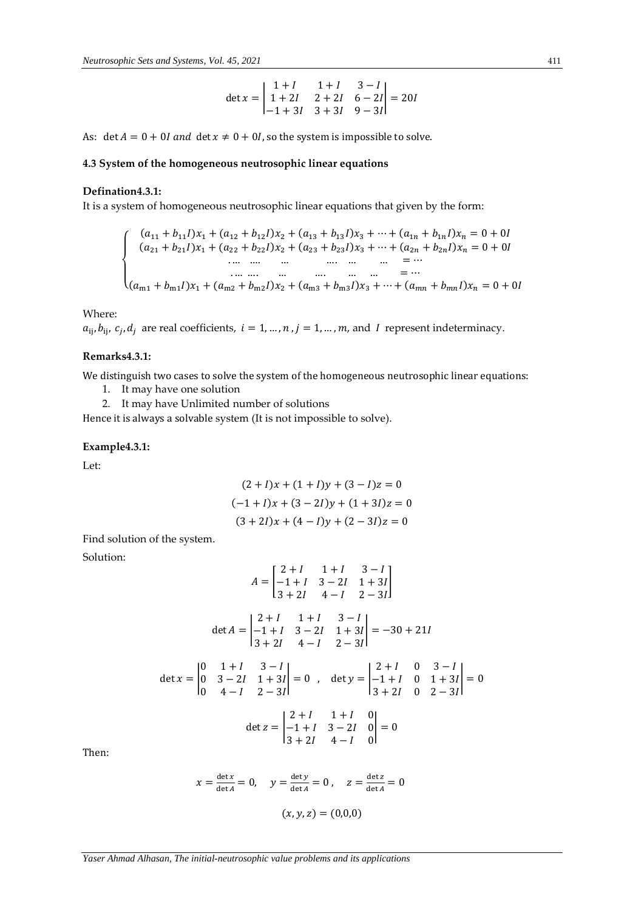$$
\det x = \begin{vmatrix} 1+I & 1+I & 3-I \\ 1+2I & 2+2I & 6-2I \\ -1+3I & 3+3I & 9-3I \end{vmatrix} = 20I
$$

As: det  $A = 0 + 0I$  and det  $x \neq 0 + 0I$ , so the system is impossible to solve.

## **4.3 System of the homogeneous neutrosophic linear equations**

## **Defination4.3.1:**

It is a system of homogeneous neutrosophic linear equations that given by the form:

{ (<sup>11</sup> + 11)<sup>1</sup> + (<sup>12</sup> + 12)<sup>2</sup> + (<sup>13</sup> +13)<sup>3</sup> + ⋯ + (1 + 1) = 0 +0 (<sup>21</sup> + 21)<sup>1</sup> + (<sup>22</sup> + 22)<sup>2</sup> + (<sup>23</sup> + 23)<sup>3</sup> + ⋯ + (2 + 2) = 0 + 0 . … …. … …. … … = ⋯ . … …. … …. … … = ⋯ (m1 + m1)<sup>1</sup> +(m2 + m2)<sup>2</sup> +(m3 + m3)<sup>3</sup> + ⋯ +( +) = 0 +0

Where:

 $a_{ij}$ ,  $b_{ij}$ ,  $c_j$ ,  $d_j$  are real coefficients,  $i = 1, ..., n$ ,  $j = 1, ..., m$ , and I represent indeterminacy.

## **Remarks4.3.1:**

We distinguish two cases to solve the system of the homogeneous neutrosophic linear equations:

- 1. It may have one solution
- 2. It may have Unlimited number of solutions

Hence it is always a solvable system (It is not impossible to solve).

## **Example4.3.1:**

Let:

$$
(2 + I)x + (1 + I)y + (3 - I)z = 0
$$

$$
(-1 + I)x + (3 - 2I)y + (1 + 3I)z = 0
$$

$$
(3 + 2I)x + (4 - I)y + (2 - 3I)z = 0
$$

Find solution of the system.

Solution:

$$
A = \begin{bmatrix} 2+I & 1+I & 3-I \\ -1+I & 3-2I & 1+3I \\ 3+2I & 4-I & 2-3I \end{bmatrix}
$$
  
\n
$$
\det A = \begin{vmatrix} 2+I & 1+I & 3-I \\ -1+I & 3-2I & 1+3I \\ 3+2I & 4-I & 2-3I \end{vmatrix} = -30 + 21I
$$
  
\n
$$
\det x = \begin{vmatrix} 0 & 1+I & 3-I \\ 0 & 3-2I & 1+3I \\ 0 & 4-I & 2-3I \end{vmatrix} = 0 , \quad \det y = \begin{vmatrix} 2+I & 0 & 3-I \\ -1+I & 0 & 1+3I \\ 3+2I & 0 & 2-3I \end{vmatrix} = 0
$$
  
\n
$$
\det z = \begin{vmatrix} 2+I & 1+I & 0 \\ -1+I & 3-2I & 0 \\ 3+2I & 4-I & 0 \end{vmatrix} = 0
$$

Then:

$$
x = \frac{\det x}{\det A} = 0
$$
,  $y = \frac{\det y}{\det A} = 0$ ,  $z = \frac{\det z}{\det A} = 0$   
 $(x, y, z) = (0, 0, 0)$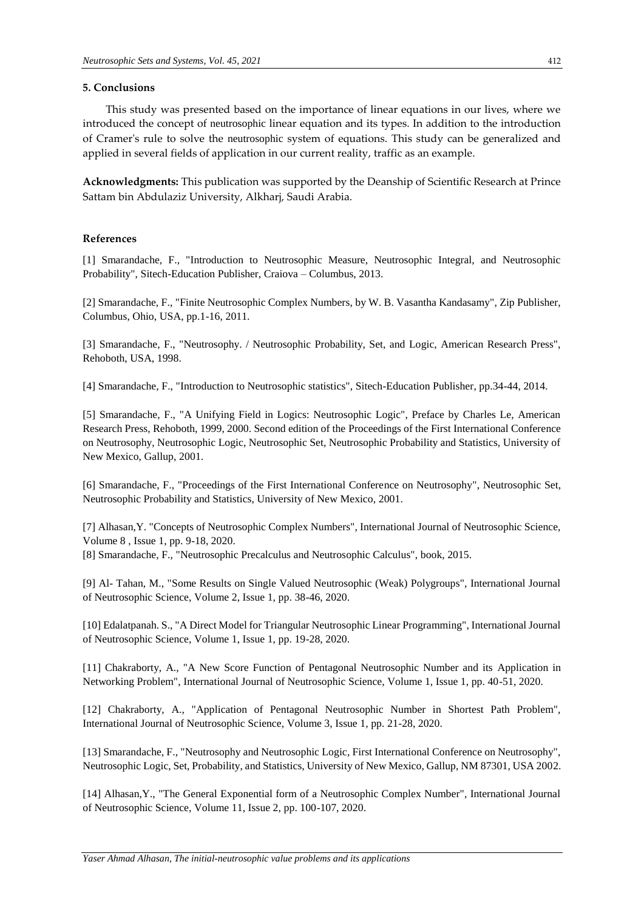## **5. Conclusions**

This study was presented based on the importance of linear equations in our lives, where we introduced the concept of neutrosophic linear equation and its types. In addition to the introduction of Cramer's rule to solve the neutrosophic system of equations. This study can be generalized and applied in several fields of application in our current reality, traffic as an example.

**Acknowledgments:** This publication was supported by the Deanship of Scientific Research at Prince Sattam bin Abdulaziz University, Alkharj, Saudi Arabia.

## **References**

[1] Smarandache, F., "Introduction to Neutrosophic Measure, Neutrosophic Integral, and Neutrosophic Probability", Sitech-Education Publisher, Craiova – Columbus, 2013.

[2] Smarandache, F., "Finite Neutrosophic Complex Numbers, by W. B. Vasantha Kandasamy", Zip Publisher, Columbus, Ohio, USA, pp.1-16, 2011.

[3] Smarandache, F., "Neutrosophy. / Neutrosophic Probability, Set, and Logic, American Research Press", Rehoboth, USA, 1998.

[4] Smarandache, F., "Introduction to Neutrosophic statistics", Sitech-Education Publisher, pp.34-44, 2014.

[5] Smarandache, F., "A Unifying Field in Logics: Neutrosophic Logic", Preface by Charles Le, American Research Press, Rehoboth, 1999, 2000. Second edition of the Proceedings of the First International Conference on Neutrosophy, Neutrosophic Logic, Neutrosophic Set, Neutrosophic Probability and Statistics, University of New Mexico, Gallup, 2001.

[6] Smarandache, F., "Proceedings of the First International Conference on Neutrosophy", Neutrosophic Set, Neutrosophic Probability and Statistics, University of New Mexico, 2001.

[7] Alhasan,Y. "Concepts of Neutrosophic Complex Numbers", International Journal of Neutrosophic Science, Volume 8 , Issue 1, pp. 9-18, 2020.

[8] Smarandache, F., "Neutrosophic Precalculus and Neutrosophic Calculus", book, 2015.

[9] Al- Tahan, M., "Some Results on Single Valued Neutrosophic (Weak) Polygroups", International Journal of Neutrosophic Science, Volume 2, Issue 1, pp. 38-46, 2020.

[10] Edalatpanah. S., "A Direct Model for Triangular Neutrosophic Linear Programming", International Journal of Neutrosophic Science, Volume 1, Issue 1, pp. 19-28, 2020.

[11] Chakraborty, A., "A New Score Function of Pentagonal Neutrosophic Number and its Application in Networking Problem", International Journal of Neutrosophic Science, Volume 1, Issue 1, pp. 40-51, 2020.

[12] Chakraborty, A., "Application of Pentagonal Neutrosophic Number in Shortest Path Problem", International Journal of Neutrosophic Science, Volume 3, Issue 1, pp. 21-28, 2020.

[13] Smarandache, F., "Neutrosophy and Neutrosophic Logic, First International Conference on Neutrosophy", Neutrosophic Logic, Set, Probability, and Statistics, University of New Mexico, Gallup, NM 87301, USA 2002.

[14] Alhasan,Y., "The General Exponential form of a Neutrosophic Complex Number", International Journal of Neutrosophic Science, Volume 11, Issue 2, pp. 100-107, 2020.